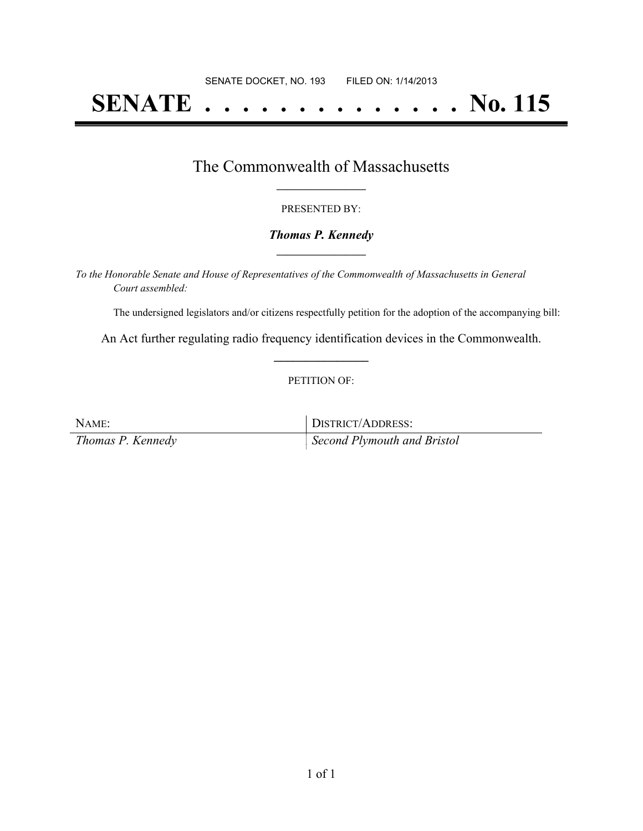# **SENATE . . . . . . . . . . . . . . No. 115**

## The Commonwealth of Massachusetts **\_\_\_\_\_\_\_\_\_\_\_\_\_\_\_\_\_**

#### PRESENTED BY:

#### *Thomas P. Kennedy* **\_\_\_\_\_\_\_\_\_\_\_\_\_\_\_\_\_**

*To the Honorable Senate and House of Representatives of the Commonwealth of Massachusetts in General Court assembled:*

The undersigned legislators and/or citizens respectfully petition for the adoption of the accompanying bill:

An Act further regulating radio frequency identification devices in the Commonwealth. **\_\_\_\_\_\_\_\_\_\_\_\_\_\_\_**

#### PETITION OF:

NAME: DISTRICT/ADDRESS: *Thomas P. Kennedy Second Plymouth and Bristol*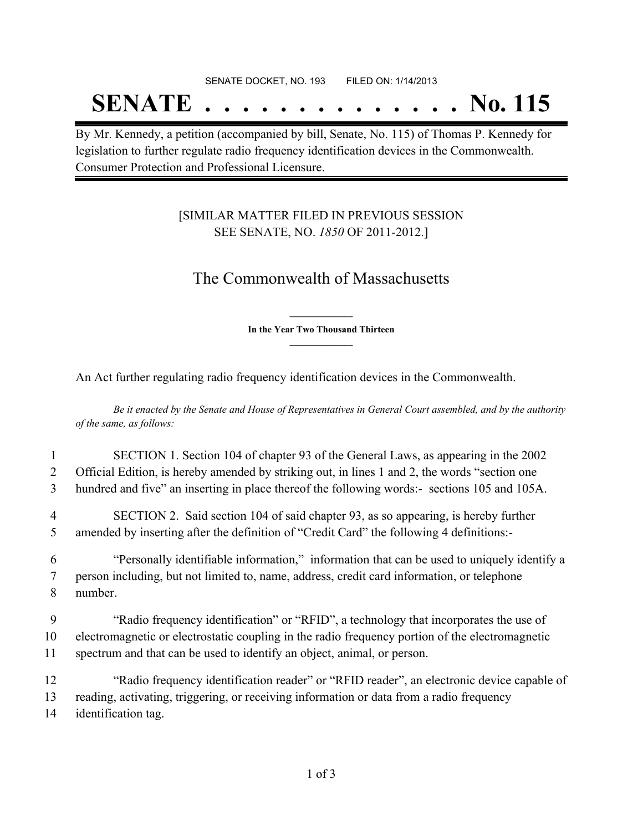## SENATE DOCKET, NO. 193 FILED ON: 1/14/2013 **SENATE . . . . . . . . . . . . . . No. 115**

By Mr. Kennedy, a petition (accompanied by bill, Senate, No. 115) of Thomas P. Kennedy for legislation to further regulate radio frequency identification devices in the Commonwealth. Consumer Protection and Professional Licensure.

### [SIMILAR MATTER FILED IN PREVIOUS SESSION SEE SENATE, NO. *1850* OF 2011-2012.]

# The Commonwealth of Massachusetts

**\_\_\_\_\_\_\_\_\_\_\_\_\_\_\_ In the Year Two Thousand Thirteen \_\_\_\_\_\_\_\_\_\_\_\_\_\_\_**

An Act further regulating radio frequency identification devices in the Commonwealth.

Be it enacted by the Senate and House of Representatives in General Court assembled, and by the authority *of the same, as follows:*

## 1 SECTION 1. Section 104 of chapter 93 of the General Laws, as appearing in the 2002 2 Official Edition, is hereby amended by striking out, in lines 1 and 2, the words "section one 3 hundred and five" an inserting in place thereof the following words:- sections 105 and 105A. 4 SECTION 2. Said section 104 of said chapter 93, as so appearing, is hereby further 5 amended by inserting after the definition of "Credit Card" the following 4 definitions:-

6 "Personally identifiable information," information that can be used to uniquely identify a 7 person including, but not limited to, name, address, credit card information, or telephone 8 number.

9 "Radio frequency identification" or "RFID", a technology that incorporates the use of 10 electromagnetic or electrostatic coupling in the radio frequency portion of the electromagnetic 11 spectrum and that can be used to identify an object, animal, or person.

12 "Radio frequency identification reader" or "RFID reader", an electronic device capable of 13 reading, activating, triggering, or receiving information or data from a radio frequency 14 identification tag.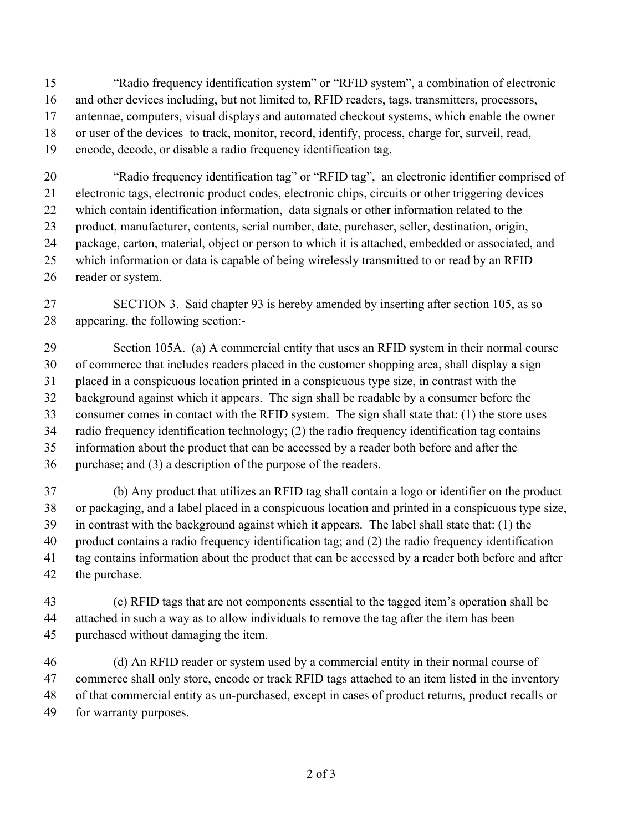"Radio frequency identification system" or "RFID system", a combination of electronic and other devices including, but not limited to, RFID readers, tags, transmitters, processors, antennae, computers, visual displays and automated checkout systems, which enable the owner or user of the devices to track, monitor, record, identify, process, charge for, surveil, read, encode, decode, or disable a radio frequency identification tag.

 "Radio frequency identification tag" or "RFID tag", an electronic identifier comprised of electronic tags, electronic product codes, electronic chips, circuits or other triggering devices which contain identification information, data signals or other information related to the product, manufacturer, contents, serial number, date, purchaser, seller, destination, origin, package, carton, material, object or person to which it is attached, embedded or associated, and which information or data is capable of being wirelessly transmitted to or read by an RFID reader or system.

 SECTION 3. Said chapter 93 is hereby amended by inserting after section 105, as so appearing, the following section:-

 Section 105A. (a) A commercial entity that uses an RFID system in their normal course of commerce that includes readers placed in the customer shopping area, shall display a sign placed in a conspicuous location printed in a conspicuous type size, in contrast with the background against which it appears. The sign shall be readable by a consumer before the consumer comes in contact with the RFID system. The sign shall state that: (1) the store uses radio frequency identification technology; (2) the radio frequency identification tag contains

 information about the product that can be accessed by a reader both before and after the purchase; and (3) a description of the purpose of the readers.

 (b) Any product that utilizes an RFID tag shall contain a logo or identifier on the product or packaging, and a label placed in a conspicuous location and printed in a conspicuous type size, in contrast with the background against which it appears. The label shall state that: (1) the product contains a radio frequency identification tag; and (2) the radio frequency identification tag contains information about the product that can be accessed by a reader both before and after the purchase.

 (c) RFID tags that are not components essential to the tagged item's operation shall be attached in such a way as to allow individuals to remove the tag after the item has been purchased without damaging the item.

 (d) An RFID reader or system used by a commercial entity in their normal course of commerce shall only store, encode or track RFID tags attached to an item listed in the inventory of that commercial entity as un-purchased, except in cases of product returns, product recalls or for warranty purposes.